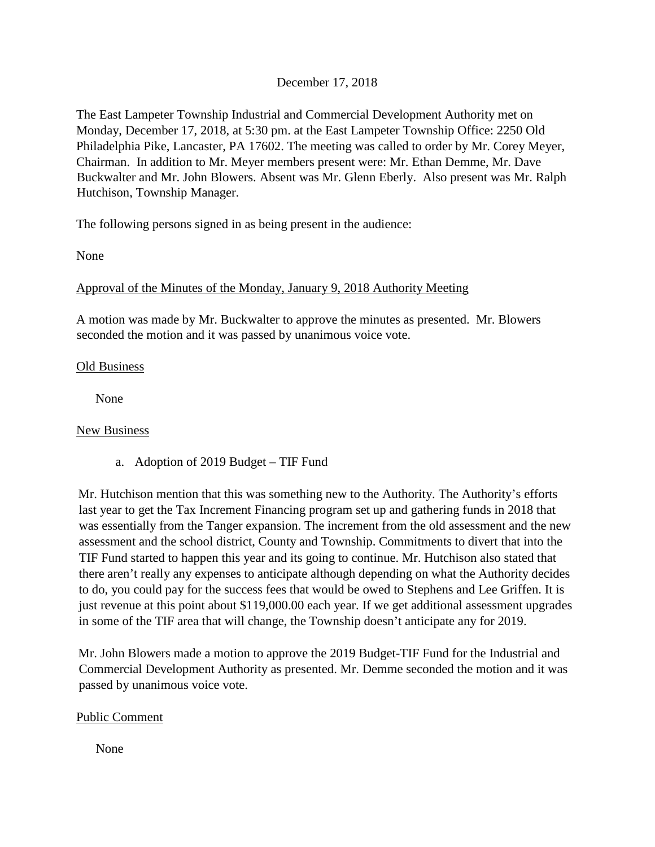## December 17, 2018

The East Lampeter Township Industrial and Commercial Development Authority met on Monday, December 17, 2018, at 5:30 pm. at the East Lampeter Township Office: 2250 Old Philadelphia Pike, Lancaster, PA 17602. The meeting was called to order by Mr. Corey Meyer, Chairman. In addition to Mr. Meyer members present were: Mr. Ethan Demme, Mr. Dave Buckwalter and Mr. John Blowers. Absent was Mr. Glenn Eberly. Also present was Mr. Ralph Hutchison, Township Manager.

The following persons signed in as being present in the audience:

None

### Approval of the Minutes of the Monday, January 9, 2018 Authority Meeting

A motion was made by Mr. Buckwalter to approve the minutes as presented. Mr. Blowers seconded the motion and it was passed by unanimous voice vote.

#### Old Business

None

### New Business

a. Adoption of 2019 Budget – TIF Fund

Mr. Hutchison mention that this was something new to the Authority. The Authority's efforts last year to get the Tax Increment Financing program set up and gathering funds in 2018 that was essentially from the Tanger expansion. The increment from the old assessment and the new assessment and the school district, County and Township. Commitments to divert that into the TIF Fund started to happen this year and its going to continue. Mr. Hutchison also stated that there aren't really any expenses to anticipate although depending on what the Authority decides to do, you could pay for the success fees that would be owed to Stephens and Lee Griffen. It is just revenue at this point about \$119,000.00 each year. If we get additional assessment upgrades in some of the TIF area that will change, the Township doesn't anticipate any for 2019.

Mr. John Blowers made a motion to approve the 2019 Budget-TIF Fund for the Industrial and Commercial Development Authority as presented. Mr. Demme seconded the motion and it was passed by unanimous voice vote.

### Public Comment

None